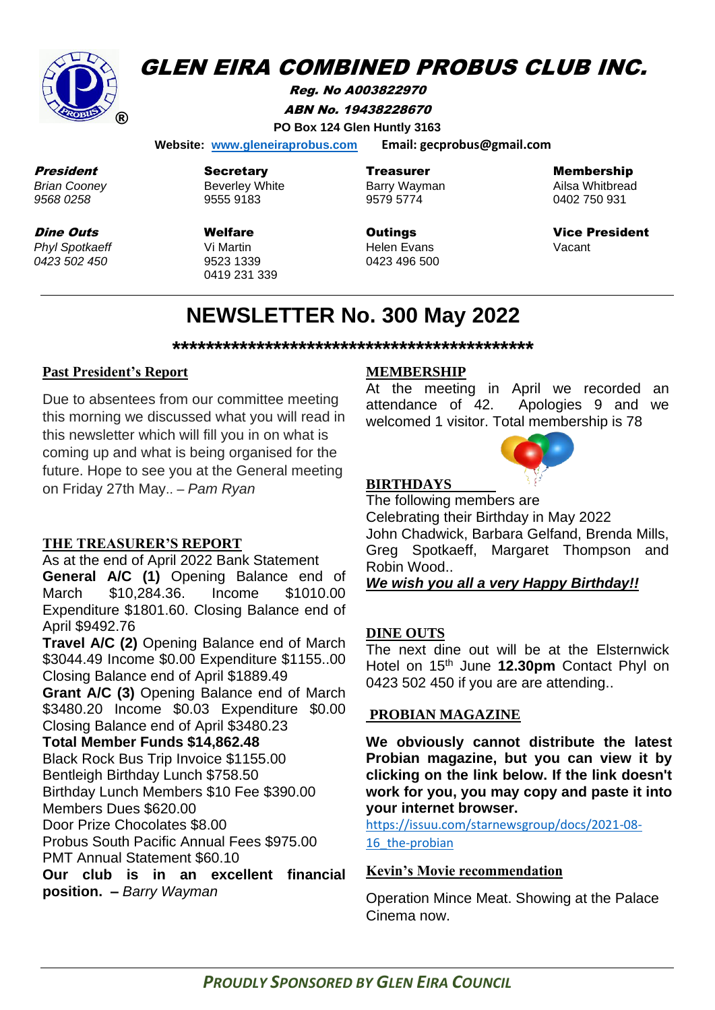

# **GLEN EIRA COMBINED PROBUS CLUB INC.**

Reg. No A003822970 ABN No. 19438228670 **PO Box 124 Glen Huntly 3163**

 **Website: [www.gleneiraprobus.com](http://www.gleneiraprobus.com/) Email: gecprobus@gmail.com**

President *Brian Cooney 9568 0258*

Dine Outs *Phyl Spotkaeff 0423 502 450*

**Secretary** Beverley White 9555 9183

Welfare Vi Martin 9523 1339 0419 231 339 **Treasurer** Barry Wayman 9579 5774

**Outings** Helen Evans 0423 496 500 Membership

Ailsa Whitbread 0402 750 931

Vice President Vacant

# **NEWSLETTER No. 300 May 2022**

**\*\*\*\*\*\*\*\*\*\*\*\*\*\*\*\*\*\*\*\*\*\*\*\*\*\*\*\*\*\*\*\*\*\*\*\*\*\*\*\*\*\*\***

#### **Past President's Report**

Due to absentees from our committee meeting this morning we discussed what you will read in this newsletter which will fill you in on what is coming up and what is being organised for the future. Hope to see you at the General meeting on Friday 27th May.. – *Pam Ryan*

#### **THE TREASURER'S REPORT**

As at the end of April 2022 Bank Statement **General A/C (1)** Opening Balance end of March \$10,284.36. Income \$1010.00 Expenditure \$1801.60. Closing Balance end of April \$9492.76

**Travel A/C (2)** Opening Balance end of March \$3044.49 Income \$0.00 Expenditure \$1155..00 Closing Balance end of April \$1889.49

**Grant A/C (3)** Opening Balance end of March \$3480.20 Income \$0.03 Expenditure \$0.00 Closing Balance end of April \$3480.23

**Total Member Funds \$14,862.48**

Black Rock Bus Trip Invoice \$1155.00

Bentleigh Birthday Lunch \$758.50

Birthday Lunch Members \$10 Fee \$390.00

Members Dues \$620.00

Door Prize Chocolates \$8.00

Probus South Pacific Annual Fees \$975.00 PMT Annual Statement \$60.10

**Our club is in an excellent financial position. –** *Barry Wayman*

#### **MEMBERSHIP**

At the meeting in April we recorded an attendance of 42. Apologies 9 and we welcomed 1 visitor. Total membership is 78



#### **BIRTHDAYS**

The following members are Celebrating their Birthday in May 2022 John Chadwick, Barbara Gelfand, Brenda Mills, Greg Spotkaeff, Margaret Thompson and Robin Wood..

*We wish you all a very Happy Birthday!!*

#### **DINE OUTS**

The next dine out will be at the Elsternwick Hotel on 15th June **12.30pm** Contact Phyl on 0423 502 450 if you are are attending..

### **PROBIAN MAGAZINE**

**We obviously cannot distribute the latest Probian magazine, but you can view it by clicking on the link below. If the link doesn't work for you, you may copy and paste it into your internet browser.**

[https://issuu.com/starnewsgroup/docs/2021-08-](https://issuu.com/starnewsgroup/docs/2021-08-16_the-probian) 16 the-probian

#### **Kevin's Movie recommendation**

Operation Mince Meat. Showing at the Palace Cinema now.